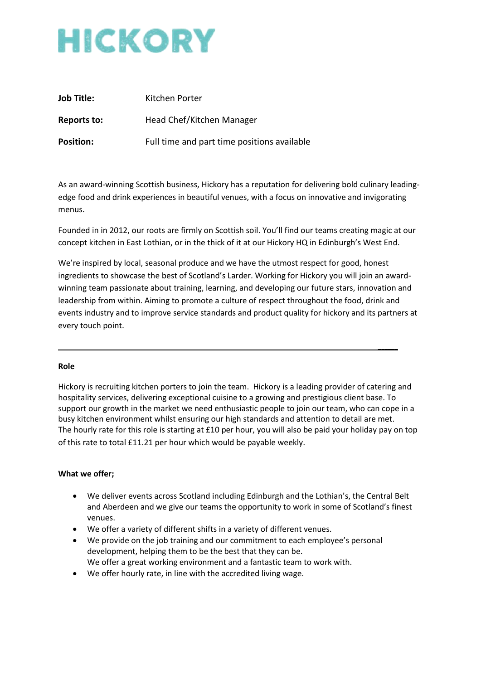# HICKORY

| <b>Job Title:</b> | Kitchen Porter                              |
|-------------------|---------------------------------------------|
| Reports to:       | Head Chef/Kitchen Manager                   |
| <b>Position:</b>  | Full time and part time positions available |

As an award-winning Scottish business, Hickory has a reputation for delivering bold culinary leadingedge food and drink experiences in beautiful venues, with a focus on innovative and invigorating menus.

Founded in in 2012, our roots are firmly on Scottish soil. You'll find our teams creating magic at our concept kitchen in East Lothian, or in the thick of it at our Hickory HQ in Edinburgh's West End.

We're inspired by local, seasonal produce and we have the utmost respect for good, honest ingredients to showcase the best of Scotland's Larder. Working for Hickory you will join an awardwinning team passionate about training, learning, and developing our future stars, innovation and leadership from within. Aiming to promote a culture of respect throughout the food, drink and events industry and to improve service standards and product quality for hickory and its partners at every touch point.

**\_\_\_\_\_\_**

#### **Role**

Hickory is recruiting kitchen porters to join the team. Hickory is a leading provider of catering and hospitality services, delivering exceptional cuisine to a growing and prestigious client base. To support our growth in the market we need enthusiastic people to join our team, who can cope in a busy kitchen environment whilst ensuring our high standards and attention to detail are met. The hourly rate for this role is starting at £10 per hour, you will also be paid your holiday pay on top of this rate to total £11.21 per hour which would be payable weekly.

## **What we offer;**

- We deliver events across Scotland including Edinburgh and the Lothian's, the Central Belt and Aberdeen and we give our teams the opportunity to work in some of Scotland's finest venues.
- We offer a variety of different shifts in a variety of different venues.
- We provide on the job training and our commitment to each employee's personal development, helping them to be the best that they can be. We offer a great working environment and a fantastic team to work with.
- We offer hourly rate, in line with the accredited living wage.